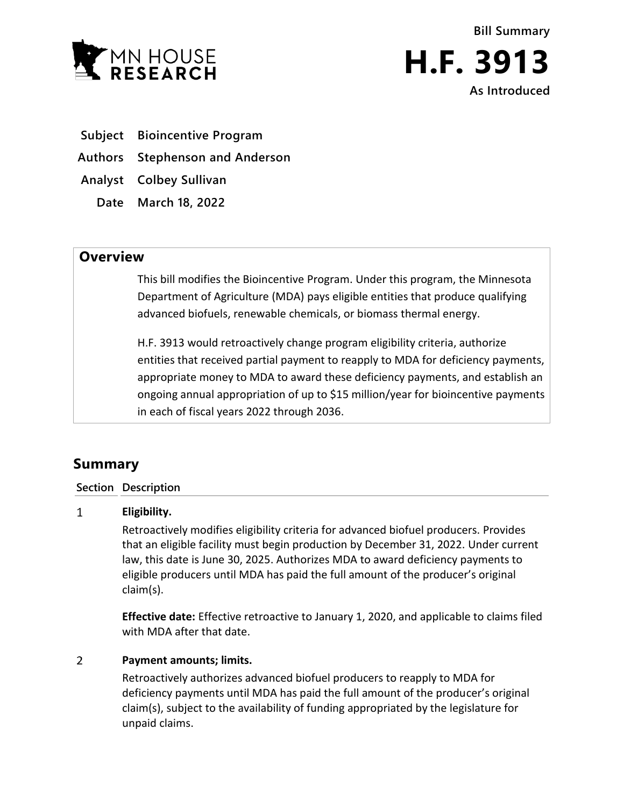



**Subject Bioincentive Program**

**Authors Stephenson and Anderson**

**Analyst Colbey Sullivan**

**Date March 18, 2022**

## **Overview**

This bill modifies the Bioincentive Program. Under this program, the Minnesota Department of Agriculture (MDA) pays eligible entities that produce qualifying advanced biofuels, renewable chemicals, or biomass thermal energy.

H.F. 3913 would retroactively change program eligibility criteria, authorize entities that received partial payment to reapply to MDA for deficiency payments, appropriate money to MDA to award these deficiency payments, and establish an ongoing annual appropriation of up to \$15 million/year for bioincentive payments in each of fiscal years 2022 through 2036.

# **Summary**

### **Section Description**

#### $\mathbf{1}$ **Eligibility.**

Retroactively modifies eligibility criteria for advanced biofuel producers. Provides that an eligible facility must begin production by December 31, 2022. Under current law, this date is June 30, 2025. Authorizes MDA to award deficiency payments to eligible producers until MDA has paid the full amount of the producer's original claim(s).

**Effective date:** Effective retroactive to January 1, 2020, and applicable to claims filed with MDA after that date.

#### $\overline{2}$ **Payment amounts; limits.**

Retroactively authorizes advanced biofuel producers to reapply to MDA for deficiency payments until MDA has paid the full amount of the producer's original claim(s), subject to the availability of funding appropriated by the legislature for unpaid claims.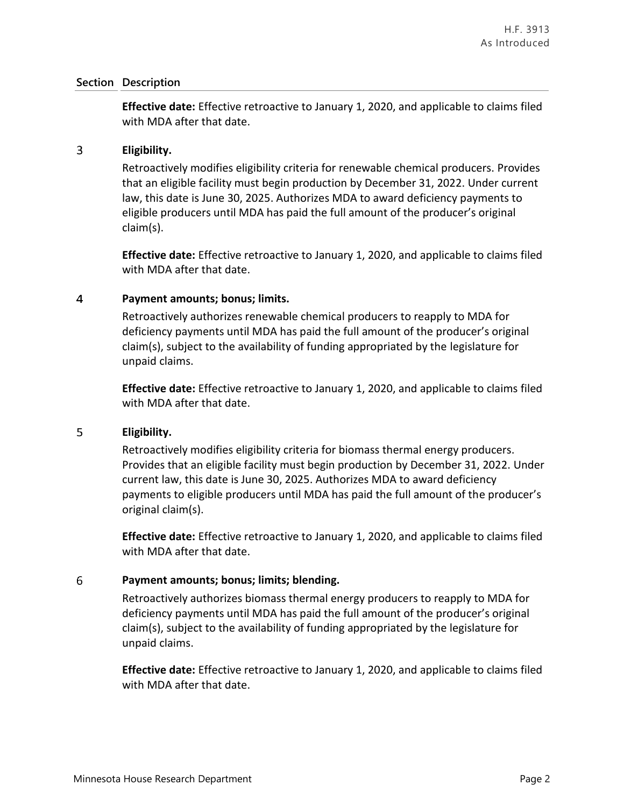### **Section Description**

**Effective date:** Effective retroactive to January 1, 2020, and applicable to claims filed with MDA after that date.

#### $\overline{3}$ **Eligibility.**

Retroactively modifies eligibility criteria for renewable chemical producers. Provides that an eligible facility must begin production by December 31, 2022. Under current law, this date is June 30, 2025. Authorizes MDA to award deficiency payments to eligible producers until MDA has paid the full amount of the producer's original claim(s).

**Effective date:** Effective retroactive to January 1, 2020, and applicable to claims filed with MDA after that date.

#### $\overline{4}$ **Payment amounts; bonus; limits.**

Retroactively authorizes renewable chemical producers to reapply to MDA for deficiency payments until MDA has paid the full amount of the producer's original claim(s), subject to the availability of funding appropriated by the legislature for unpaid claims.

**Effective date:** Effective retroactive to January 1, 2020, and applicable to claims filed with MDA after that date.

#### 5 **Eligibility.**

Retroactively modifies eligibility criteria for biomass thermal energy producers. Provides that an eligible facility must begin production by December 31, 2022. Under current law, this date is June 30, 2025. Authorizes MDA to award deficiency payments to eligible producers until MDA has paid the full amount of the producer's original claim(s).

**Effective date:** Effective retroactive to January 1, 2020, and applicable to claims filed with MDA after that date.

#### 6 **Payment amounts; bonus; limits; blending.**

Retroactively authorizes biomass thermal energy producers to reapply to MDA for deficiency payments until MDA has paid the full amount of the producer's original claim(s), subject to the availability of funding appropriated by the legislature for unpaid claims.

**Effective date:** Effective retroactive to January 1, 2020, and applicable to claims filed with MDA after that date.